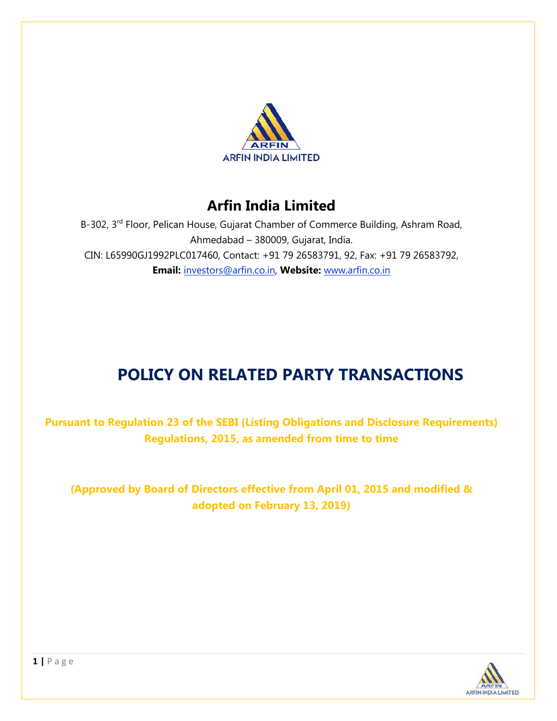

## **Arfin India Limited**

B-302, 3<sup>rd</sup> Floor, Pelican House, Gujarat Chamber of Commerce Building, Ashram Road, Ahmedabad – 380009, Gujarat, India. CIN: L65990GJ1992PLC017460, Contact: +91 79 26583791, 92, Fax: +91 79 26583792, **Email:** investors@arfin.co.in, **Website:** www.arfin.co.in

# **POLICY ON RELATED PARTY TRANSACTIONS**

**Pursuant to Regulation 23 of the SEBI (Listing Obligations and Disclosure Requirements) Regulations, 2015, as amended from time to time**

**(Approved by Board of Directors effective from April 01, 2015 and modified & adopted on February 13, 2019)**

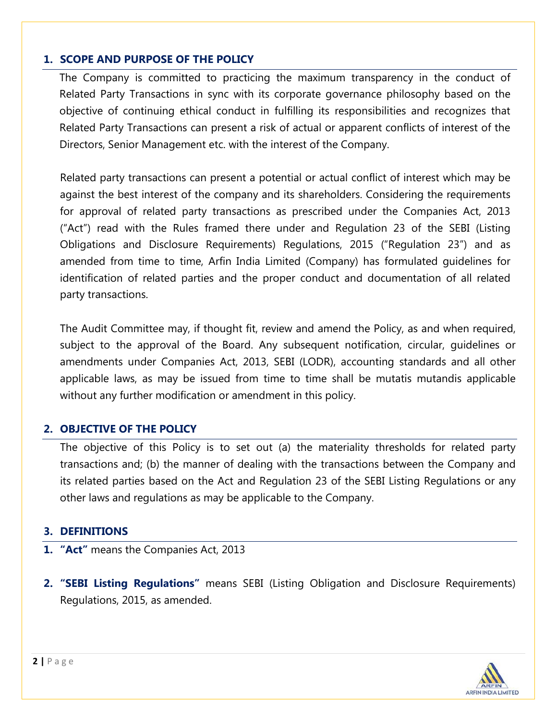## **1. SCOPE AND PURPOSE OF THE POLICY**

The Company is committed to practicing the maximum transparency in the conduct of Related Party Transactions in sync with its corporate governance philosophy based on the objective of continuing ethical conduct in fulfilling its responsibilities and recognizes that Related Party Transactions can present a risk of actual or apparent conflicts of interest of the Directors, Senior Management etc. with the interest of the Company.

Related party transactions can present a potential or actual conflict of interest which may be against the best interest of the company and its shareholders. Considering the requirements for approval of related party transactions as prescribed under the Companies Act, 2013 ("Act") read with the Rules framed there under and Regulation 23 of the SEBI (Listing Obligations and Disclosure Requirements) Regulations, 2015 ("Regulation 23") and as amended from time to time, Arfin India Limited (Company) has formulated guidelines for identification of related parties and the proper conduct and documentation of all related party transactions.

The Audit Committee may, if thought fit, review and amend the Policy, as and when required, subject to the approval of the Board. Any subsequent notification, circular, guidelines or amendments under Companies Act, 2013, SEBI (LODR), accounting standards and all other applicable laws, as may be issued from time to time shall be mutatis mutandis applicable without any further modification or amendment in this policy.

## **2. OBJECTIVE OF THE POLICY**

The objective of this Policy is to set out (a) the materiality thresholds for related party transactions and; (b) the manner of dealing with the transactions between the Company and its related parties based on the Act and Regulation 23 of the SEBI Listing Regulations or any other laws and regulations as may be applicable to the Company.

## **3. DEFINITIONS**

- **1. "Act"** means the Companies Act, 2013
- **2. "SEBI Listing Regulations"** means SEBI (Listing Obligation and Disclosure Requirements) Regulations, 2015, as amended.

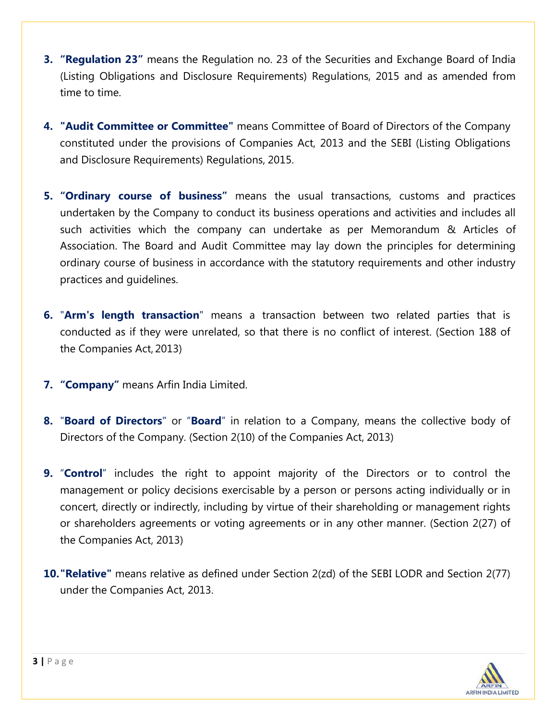- **3. "Regulation 23"** means the Regulation no. 23 of the Securities and Exchange Board of India (Listing Obligations and Disclosure Requirements) Regulations, 2015 and as amended from time to time.
- **4. "Audit Committee or Committee"** means Committee of Board of Directors of the Company constituted under the provisions of Companies Act, 2013 and the SEBI (Listing Obligations and Disclosure Requirements) Regulations, 2015.
- **5. "Ordinary course of business"** means the usual transactions, customs and practices undertaken by the Company to conduct its business operations and activities and includes all such activities which the company can undertake as per Memorandum & Articles of Association. The Board and Audit Committee may lay down the principles for determining ordinary course of business in accordance with the statutory requirements and other industry practices and guidelines.
- **6.** "**Arm's length transaction**" means a transaction between two related parties that is conducted as if they were unrelated, so that there is no conflict of interest. (Section 188 of the Companies Act, 2013)
- **7. "Company"** means Arfin India Limited.
- **8.** "**Board of Directors**" or "**Board**" in relation to a Company, means the collective body of Directors of the Company. (Section 2(10) of the Companies Act, 2013)
- **9.** "**Control**" includes the right to appoint majority of the Directors or to control the management or policy decisions exercisable by a person or persons acting individually or in concert, directly or indirectly, including by virtue of their shareholding or management rights or shareholders agreements or voting agreements or in any other manner. (Section 2(27) of the Companies Act, 2013)
- **10."Relative"** means relative as defined under Section 2(zd) of the SEBI LODR and Section 2(77) under the Companies Act, 2013.

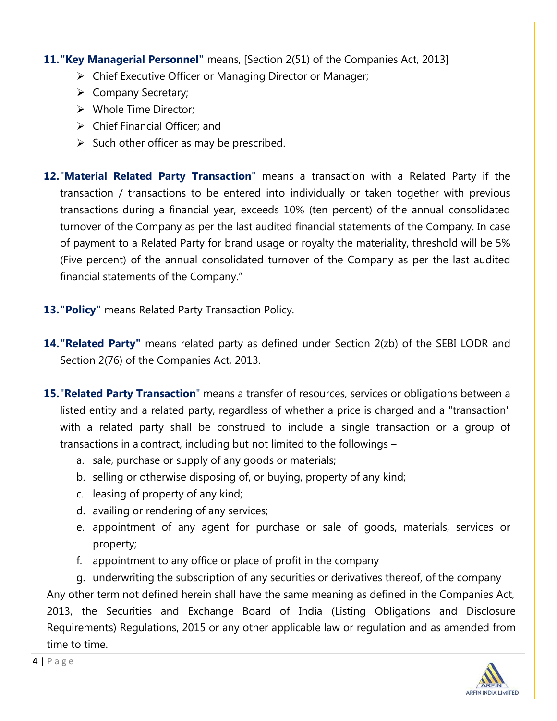## **11."Key Managerial Personnel"** means, [Section 2(51) of the Companies Act, 2013]

- Chief Executive Officer or Managing Director or Manager;
- Company Secretary;
- Whole Time Director;
- $\triangleright$  Chief Financial Officer: and
- $\triangleright$  Such other officer as may be prescribed.

**12.**"**Material Related Party Transaction**" means a transaction with a Related Party if the transaction / transactions to be entered into individually or taken together with previous transactions during a financial year, exceeds 10% (ten percent) of the annual consolidated turnover of the Company as per the last audited financial statements of the Company. In case of payment to a Related Party for brand usage or royalty the materiality, threshold will be 5% (Five percent) of the annual consolidated turnover of the Company as per the last audited financial statements of the Company."

- **13."Policy"** means Related Party Transaction Policy.
- **14."Related Party"** means related party as defined under Section 2(zb) of the SEBI LODR and Section 2(76) of the Companies Act, 2013.
- **15.**"**Related Party Transaction**" means a transfer of resources, services or obligations between a listed entity and a related party, regardless of whether a price is charged and a "transaction" with a related party shall be construed to include a single transaction or a group of transactions in a contract, including but not limited to the followings –
	- a. sale, purchase or supply of any goods or materials;
	- b. selling or otherwise disposing of, or buying, property of any kind;
	- c. leasing of property of any kind;
	- d. availing or rendering of any services;
	- e. appointment of any agent for purchase or sale of goods, materials, services or property;
	- f. appointment to any office or place of profit in the company

g. underwriting the subscription of any securities or derivatives thereof, of the company Any other term not defined herein shall have the same meaning as defined in the Companies Act, 2013, the Securities and Exchange Board of India (Listing Obligations and Disclosure Requirements) Regulations, 2015 or any other applicable law or regulation and as amended from time to time.

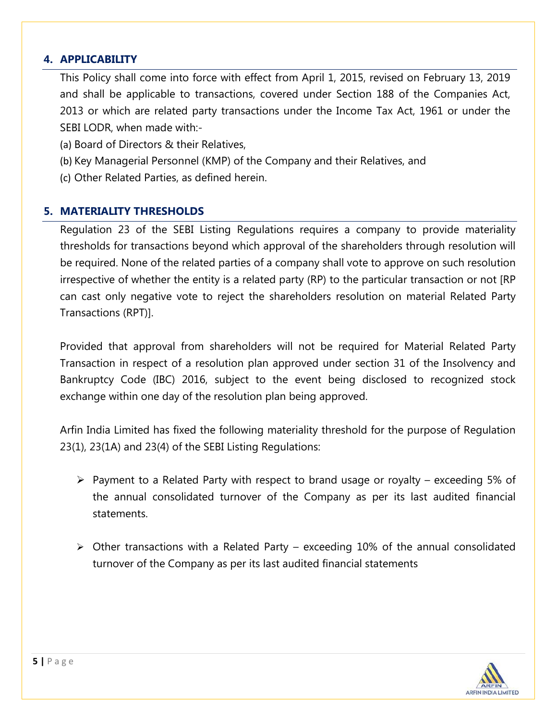## **4. APPLICABILITY**

This Policy shall come into force with effect from April 1, 2015, revised on February 13, 2019 and shall be applicable to transactions, covered under Section 188 of the Companies Act, 2013 or which are related party transactions under the Income Tax Act, 1961 or under the SEBI LODR, when made with:-

- (a) Board of Directors & their Relatives,
- (b) Key Managerial Personnel (KMP) of the Company and their Relatives, and
- (c) Other Related Parties, as defined herein.

## **5. MATERIALITY THRESHOLDS**

Regulation 23 of the SEBI Listing Regulations requires a company to provide materiality thresholds for transactions beyond which approval of the shareholders through resolution will be required. None of the related parties of a company shall vote to approve on such resolution irrespective of whether the entity is a related party (RP) to the particular transaction or not [RP can cast only negative vote to reject the shareholders resolution on material Related Party Transactions (RPT)].

Provided that approval from shareholders will not be required for Material Related Party Transaction in respect of a resolution plan approved under section 31 of the Insolvency and Bankruptcy Code (IBC) 2016, subject to the event being disclosed to recognized stock exchange within one day of the resolution plan being approved.

Arfin India Limited has fixed the following materiality threshold for the purpose of Regulation 23(1), 23(1A) and 23(4) of the SEBI Listing Regulations:

- $\triangleright$  Payment to a Related Party with respect to brand usage or royalty exceeding 5% of the annual consolidated turnover of the Company as per its last audited financial statements.
- $\triangleright$  Other transactions with a Related Party exceeding 10% of the annual consolidated turnover of the Company as per its last audited financial statements

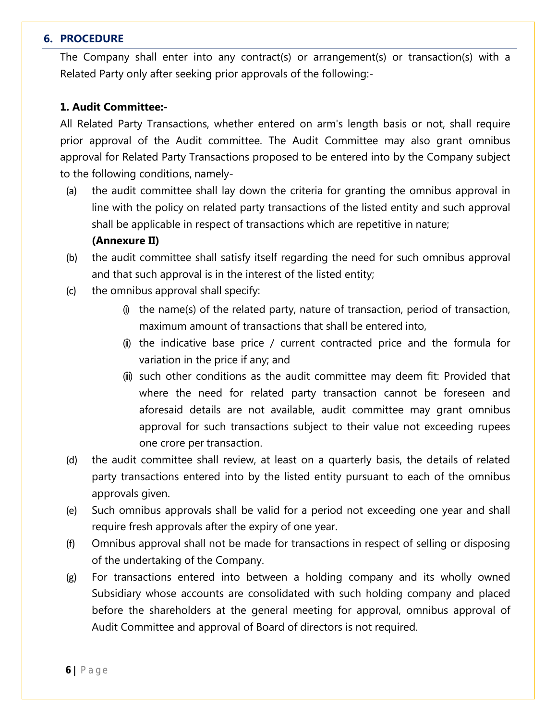#### **6. PROCEDURE**

The Company shall enter into any contract(s) or arrangement(s) or transaction(s) with a Related Party only after seeking prior approvals of the following:-

#### **1. Audit Committee:-**

All Related Party Transactions, whether entered on arm's length basis or not, shall require prior approval of the Audit committee. The Audit Committee may also grant omnibus approval for Related Party Transactions proposed to be entered into by the Company subject to the following conditions, namely-

(a) the audit committee shall lay down the criteria for granting the omnibus approval in line with the policy on related party transactions of the listed entity and such approval shall be applicable in respect of transactions which are repetitive in nature;

#### **(Annexure II)**

- (b) the audit committee shall satisfy itself regarding the need for such omnibus approval and that such approval is in the interest of the listed entity;
- (c) the omnibus approval shall specify:
	- $(i)$  the name(s) of the related party, nature of transaction, period of transaction, maximum amount of transactions that shall be entered into,
	- (ii) the indicative base price / current contracted price and the formula for variation in the price if any; and
	- (iii) such other conditions as the audit committee may deem fit: Provided that where the need for related party transaction cannot be foreseen and aforesaid details are not available, audit committee may grant omnibus approval for such transactions subject to their value not exceeding rupees one crore per transaction.
- (d) the audit committee shall review, at least on a quarterly basis, the details of related party transactions entered into by the listed entity pursuant to each of the omnibus approvals given.
- (e) Such omnibus approvals shall be valid for a period not exceeding one year and shall require fresh approvals after the expiry of one year.
- (f) Omnibus approval shall not be made for transactions in respect of selling or disposing of the undertaking of the Company.
- (g) For transactions entered into between a holding company and its wholly owned Subsidiary whose accounts are consolidated with such holding company and placed before the shareholders at the general meeting for approval, omnibus approval of Audit Committee and approval of Board of directors is not required.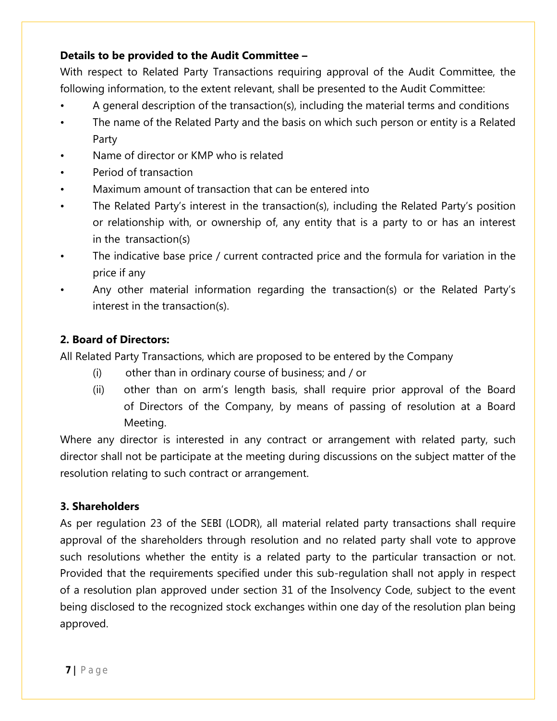## **Details to be provided to the Audit Committee –**

With respect to Related Party Transactions requiring approval of the Audit Committee, the following information, to the extent relevant, shall be presented to the Audit Committee:

- A general description of the transaction(s), including the material terms and conditions
- The name of the Related Party and the basis on which such person or entity is a Related Party
- Name of director or KMP who is related
- Period of transaction
- Maximum amount of transaction that can be entered into
- The Related Party's interest in the transaction(s), including the Related Party's position or relationship with, or ownership of, any entity that is a party to or has an interest in the transaction(s)
- The indicative base price / current contracted price and the formula for variation in the price if any
- Any other material information regarding the transaction(s) or the Related Party's interest in the transaction(s).

## **2. Board of Directors:**

All Related Party Transactions, which are proposed to be entered by the Company

- (i) other than in ordinary course of business; and / or
- (ii) other than on arm's length basis, shall require prior approval of the Board of Directors of the Company, by means of passing of resolution at a Board Meeting.

Where any director is interested in any contract or arrangement with related party, such director shall not be participate at the meeting during discussions on the subject matter of the resolution relating to such contract or arrangement.

## **3. Shareholders**

As per regulation 23 of the SEBI (LODR), all material related party transactions shall require approval of the shareholders through resolution and no related party shall vote to approve such resolutions whether the entity is a related party to the particular transaction or not. Provided that the requirements specified under this sub-regulation shall not apply in respect of a resolution plan approved under section 31 of the Insolvency Code, subject to the event being disclosed to the recognized stock exchanges within one day of the resolution plan being approved.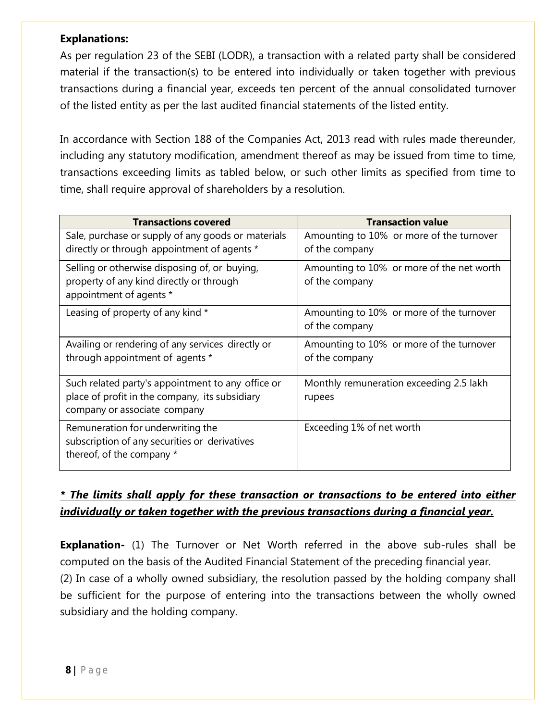## **Explanations:**

As per regulation 23 of the SEBI (LODR), a transaction with a related party shall be considered material if the transaction(s) to be entered into individually or taken together with previous transactions during a financial year, exceeds ten percent of the annual consolidated turnover of the listed entity as per the last audited financial statements of the listed entity.

In accordance with Section 188 of the Companies Act, 2013 read with rules made thereunder, including any statutory modification, amendment thereof as may be issued from time to time, transactions exceeding limits as tabled below, or such other limits as specified from time to time, shall require approval of shareholders by a resolution.

| <b>Transactions covered</b>                                                                                                         | <b>Transaction value</b>                                    |
|-------------------------------------------------------------------------------------------------------------------------------------|-------------------------------------------------------------|
| Sale, purchase or supply of any goods or materials<br>directly or through appointment of agents *                                   | Amounting to 10% or more of the turnover<br>of the company  |
| Selling or otherwise disposing of, or buying,<br>property of any kind directly or through<br>appointment of agents *                | Amounting to 10% or more of the net worth<br>of the company |
| Leasing of property of any kind *                                                                                                   | Amounting to 10% or more of the turnover<br>of the company  |
| Availing or rendering of any services directly or<br>through appointment of agents *                                                | Amounting to 10% or more of the turnover<br>of the company  |
| Such related party's appointment to any office or<br>place of profit in the company, its subsidiary<br>company or associate company | Monthly remuneration exceeding 2.5 lakh<br>rupees           |
| Remuneration for underwriting the<br>subscription of any securities or derivatives<br>thereof, of the company *                     | Exceeding 1% of net worth                                   |

## *\* The limits shall apply for these transaction or transactions to be entered into either individually or taken together with the previous transactions during a financial year.*

**Explanation-** (1) The Turnover or Net Worth referred in the above sub-rules shall be computed on the basis of the Audited Financial Statement of the preceding financial year.

(2) In case of a wholly owned subsidiary, the resolution passed by the holding company shall be sufficient for the purpose of entering into the transactions between the wholly owned subsidiary and the holding company.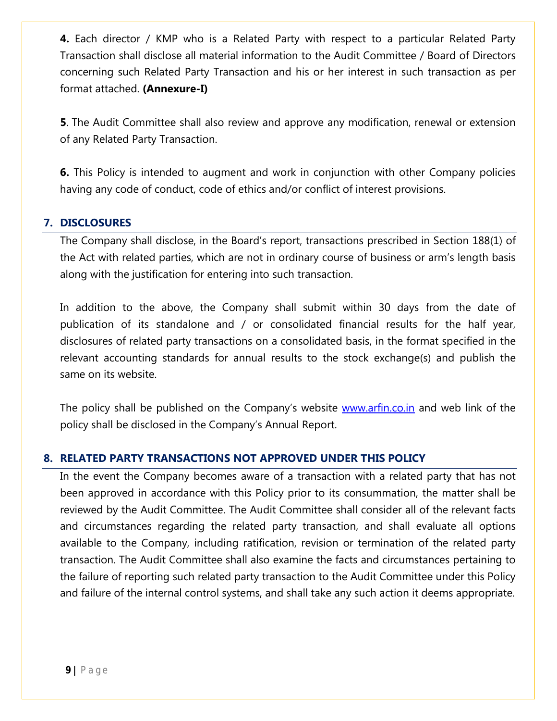**4.** Each director / KMP who is a Related Party with respect to a particular Related Party Transaction shall disclose all material information to the Audit Committee / Board of Directors concerning such Related Party Transaction and his or her interest in such transaction as per format attached. **(Annexure-I)**

**5**. The Audit Committee shall also review and approve any modification, renewal or extension of any Related Party Transaction.

**6.** This Policy is intended to augment and work in conjunction with other Company policies having any code of conduct, code of ethics and/or conflict of interest provisions.

## **7. DISCLOSURES**

The Company shall disclose, in the Board's report, transactions prescribed in Section 188(1) of the Act with related parties, which are not in ordinary course of business or arm's length basis along with the justification for entering into such transaction.

In addition to the above, the Company shall submit within 30 days from the date of publication of its standalone and / or consolidated financial results for the half year, disclosures of related party transactions on a consolidated basis, in the format specified in the relevant accounting standards for annual results to the stock exchange(s) and publish the same on its website.

The policy shall be published on the Company's website [www.arfin.co.in](http://www.arfin.co.in/) and web link of the policy shall be disclosed in the Company's Annual Report.

## **8. RELATED PARTY TRANSACTIONS NOT APPROVED UNDER THIS POLICY**

In the event the Company becomes aware of a transaction with a related party that has not been approved in accordance with this Policy prior to its consummation, the matter shall be reviewed by the Audit Committee. The Audit Committee shall consider all of the relevant facts and circumstances regarding the related party transaction, and shall evaluate all options available to the Company, including ratification, revision or termination of the related party transaction. The Audit Committee shall also examine the facts and circumstances pertaining to the failure of reporting such related party transaction to the Audit Committee under this Policy and failure of the internal control systems, and shall take any such action it deems appropriate.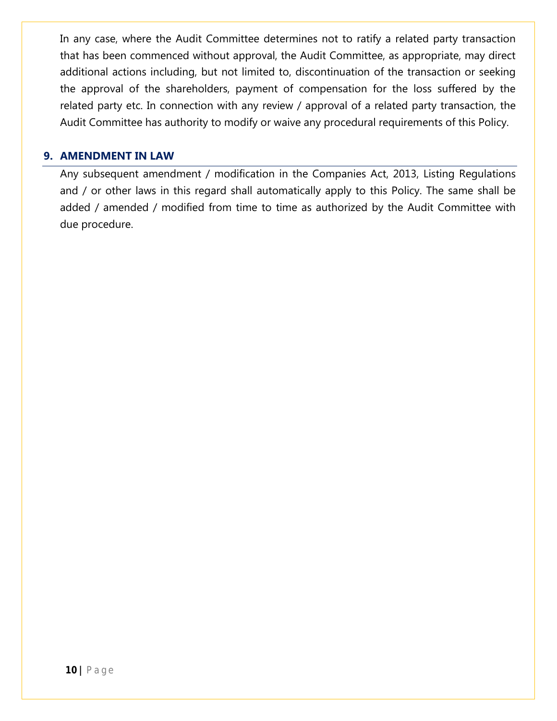In any case, where the Audit Committee determines not to ratify a related party transaction that has been commenced without approval, the Audit Committee, as appropriate, may direct additional actions including, but not limited to, discontinuation of the transaction or seeking the approval of the shareholders, payment of compensation for the loss suffered by the related party etc. In connection with any review / approval of a related party transaction, the Audit Committee has authority to modify or waive any procedural requirements of this Policy.

#### **9. AMENDMENT IN LAW**

Any subsequent amendment / modification in the Companies Act, 2013, Listing Regulations and / or other laws in this regard shall automatically apply to this Policy. The same shall be added / amended / modified from time to time as authorized by the Audit Committee with due procedure.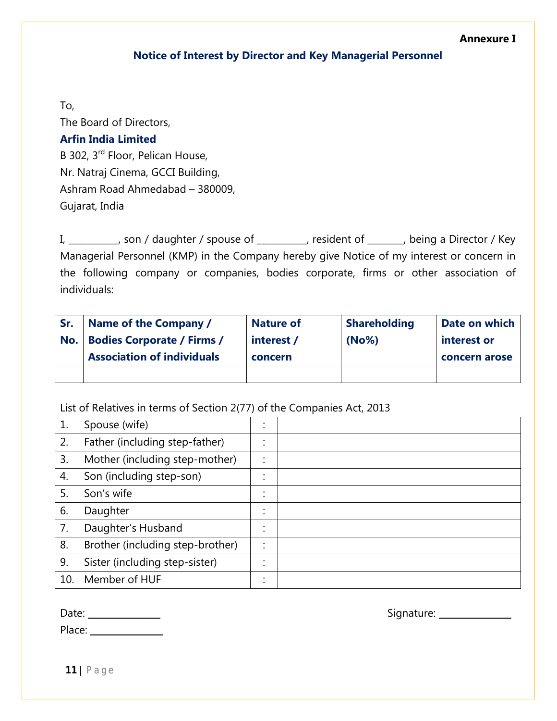#### **Annexure I**

#### **Notice of Interest by Director and Key Managerial Personnel**

To,

The Board of Directors, **Arfin India Limited** B 302, 3rd Floor, Pelican House, Nr. Natraj Cinema, GCCI Building, Ashram Road Ahmedabad – 380009, Gujarat, India

I, \_\_\_\_\_\_\_\_\_\_, son / daughter / spouse of \_\_\_\_\_\_\_\_\_, resident of \_\_\_\_\_\_\_, being a Director / Key Managerial Personnel (KMP) in the Company hereby give Notice of my interest or concern in the following company or companies, bodies corporate, firms or other association of individuals:

| Sr. | Name of the Company /             | <b>Nature of</b> | <b>Shareholding</b> | Date on which |
|-----|-----------------------------------|------------------|---------------------|---------------|
| No. | <b>Bodies Corporate / Firms /</b> | interest /       | (No%)               | interest or   |
|     | <b>Association of individuals</b> | concern          |                     | concern arose |
|     |                                   |                  |                     |               |

### List of Relatives in terms of Section 2(77) of the Companies Act, 2013

| 1. | Spouse (wife)                    | ٠<br>$\bullet$            |  |
|----|----------------------------------|---------------------------|--|
| 2. | Father (including step-father)   | ٠<br>$\bullet$            |  |
| 3. | Mother (including step-mother)   | ٠<br>$\ddot{\phantom{a}}$ |  |
| 4. | Son (including step-son)         | ٠<br>$\bullet$            |  |
| 5. | Son's wife                       | ٠<br>$\bullet$            |  |
| 6. | Daughter                         | ٠<br>$\bullet$            |  |
| 7. | Daughter's Husband               | ٠<br>$\bullet$            |  |
| 8. | Brother (including step-brother) | ٠<br>$\ddot{\phantom{a}}$ |  |
| 9. | Sister (including step-sister)   | ٠<br>$\bullet$            |  |
| 10 | Member of HUF                    | $\bullet$<br>$\bullet$    |  |

| Date:  |  |
|--------|--|
| Place: |  |

Date: \_\_\_\_\_\_\_\_\_\_\_\_\_\_\_\_ Signature: \_\_\_\_\_\_\_\_\_\_\_\_\_\_\_\_

**11 |** P a g e